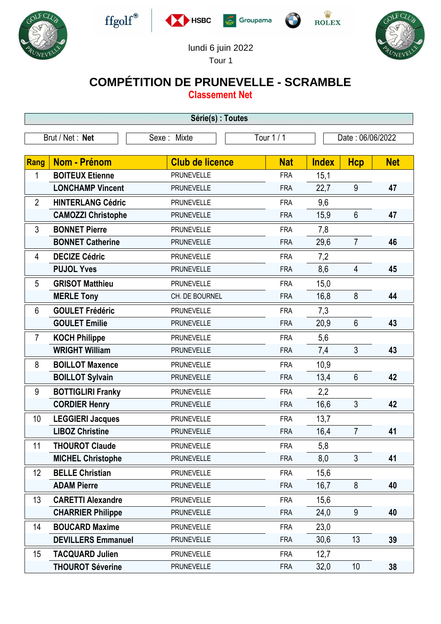











## lundi 6 juin 2022

## Tour 1

## **COMPÉTITION DE PRUNEVELLE - SCRAMBLE**

**Classement Net**

| Série(s) : Toutes |                           |                        |            |              |                  |            |  |  |  |
|-------------------|---------------------------|------------------------|------------|--------------|------------------|------------|--|--|--|
| Brut / Net: Net   |                           | Sexe: Mixte            | Tour $1/1$ |              | Date: 06/06/2022 |            |  |  |  |
|                   |                           |                        |            |              |                  |            |  |  |  |
| <b>Rang</b>       | Nom - Prénom              | <b>Club de licence</b> | <b>Nat</b> | <b>Index</b> | <b>Hcp</b>       | <b>Net</b> |  |  |  |
| 1                 | <b>BOITEUX Etienne</b>    | <b>PRUNEVELLE</b>      | <b>FRA</b> | 15,1         |                  |            |  |  |  |
|                   | <b>LONCHAMP Vincent</b>   | <b>PRUNEVELLE</b>      | <b>FRA</b> | 22,7         | 9                | 47         |  |  |  |
| $\overline{2}$    | <b>HINTERLANG Cédric</b>  | <b>PRUNEVELLE</b>      | <b>FRA</b> | 9,6          |                  |            |  |  |  |
|                   | <b>CAMOZZI Christophe</b> | <b>PRUNEVELLE</b>      | <b>FRA</b> | 15,9         | $6\phantom{1}$   | 47         |  |  |  |
| 3                 | <b>BONNET Pierre</b>      | <b>PRUNEVELLE</b>      | <b>FRA</b> | 7,8          |                  |            |  |  |  |
|                   | <b>BONNET Catherine</b>   | <b>PRUNEVELLE</b>      | <b>FRA</b> | 29,6         | $\overline{7}$   | 46         |  |  |  |
| 4                 | <b>DECIZE Cédric</b>      | <b>PRUNEVELLE</b>      | <b>FRA</b> | 7,2          |                  |            |  |  |  |
|                   | <b>PUJOL Yves</b>         | <b>PRUNEVELLE</b>      | <b>FRA</b> | 8,6          | 4                | 45         |  |  |  |
| 5                 | <b>GRISOT Matthieu</b>    | <b>PRUNEVELLE</b>      | <b>FRA</b> | 15,0         |                  |            |  |  |  |
|                   | <b>MERLE Tony</b>         | CH. DE BOURNEL         | <b>FRA</b> | 16,8         | 8                | 44         |  |  |  |
| 6                 | <b>GOULET Frédéric</b>    | <b>PRUNEVELLE</b>      | <b>FRA</b> | 7,3          |                  |            |  |  |  |
|                   | <b>GOULET Emilie</b>      | <b>PRUNEVELLE</b>      | <b>FRA</b> | 20,9         | $6\phantom{1}$   | 43         |  |  |  |
| $\overline{7}$    | <b>KOCH Philippe</b>      | <b>PRUNEVELLE</b>      | <b>FRA</b> | 5,6          |                  |            |  |  |  |
|                   | <b>WRIGHT William</b>     | <b>PRUNEVELLE</b>      | <b>FRA</b> | 7,4          | 3                | 43         |  |  |  |
| 8                 | <b>BOILLOT Maxence</b>    | <b>PRUNEVELLE</b>      | <b>FRA</b> | 10,9         |                  |            |  |  |  |
|                   | <b>BOILLOT Sylvain</b>    | <b>PRUNEVELLE</b>      | <b>FRA</b> | 13,4         | $6\phantom{1}$   | 42         |  |  |  |
| 9                 | <b>BOTTIGLIRI Franky</b>  | <b>PRUNEVELLE</b>      | <b>FRA</b> | 2,2          |                  |            |  |  |  |
|                   | <b>CORDIER Henry</b>      | <b>PRUNEVELLE</b>      | <b>FRA</b> | 16,6         | 3                | 42         |  |  |  |
| 10                | <b>LEGGIERI Jacques</b>   | <b>PRUNEVELLE</b>      | <b>FRA</b> | 13,7         |                  |            |  |  |  |
|                   | <b>LIBOZ Christine</b>    | <b>PRUNEVELLE</b>      | <b>FRA</b> | 16,4         | $\overline{7}$   | 41         |  |  |  |
| 11                | <b>THOUROT Claude</b>     | <b>PRUNEVELLE</b>      | <b>FRA</b> | 5,8          |                  |            |  |  |  |
|                   | <b>MICHEL Christophe</b>  | <b>PRUNEVELLE</b>      | <b>FRA</b> | 8,0          | $\mathfrak{Z}$   | 41         |  |  |  |
| 12                | <b>BELLE Christian</b>    | <b>PRUNEVELLE</b>      | <b>FRA</b> | 15,6         |                  |            |  |  |  |
|                   | <b>ADAM Pierre</b>        | <b>PRUNEVELLE</b>      | <b>FRA</b> | 16,7         | 8                | 40         |  |  |  |
| 13                | <b>CARETTI Alexandre</b>  | <b>PRUNEVELLE</b>      | <b>FRA</b> | 15,6         |                  |            |  |  |  |
|                   | <b>CHARRIER Philippe</b>  | <b>PRUNEVELLE</b>      | <b>FRA</b> | 24,0         | 9                | 40         |  |  |  |
| 14                | <b>BOUCARD Maxime</b>     | <b>PRUNEVELLE</b>      | <b>FRA</b> | 23,0         |                  |            |  |  |  |
|                   | <b>DEVILLERS Emmanuel</b> | <b>PRUNEVELLE</b>      | <b>FRA</b> | 30,6         | 13               | 39         |  |  |  |
| 15                | <b>TACQUARD Julien</b>    | <b>PRUNEVELLE</b>      | <b>FRA</b> | 12,7         |                  |            |  |  |  |
|                   | <b>THOUROT Séverine</b>   | <b>PRUNEVELLE</b>      | <b>FRA</b> | 32,0         | 10 <sup>°</sup>  | 38         |  |  |  |